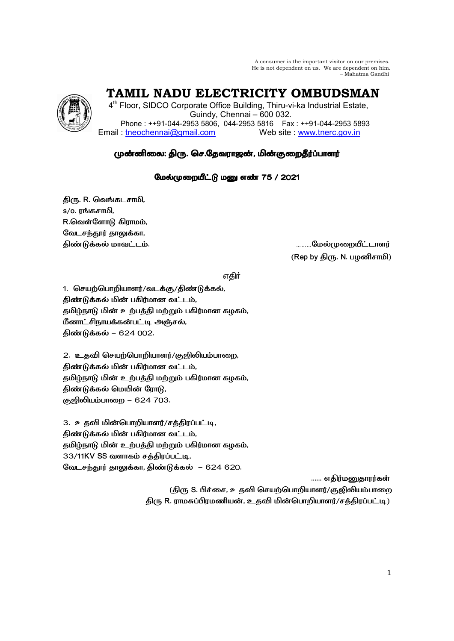A consumer is the important visitor on our premises. He is not dependent on us. We are dependent on him. – Mahatma Gandhi



 **TAMIL NADU ELECTRICITY OMBUDSMAN** 

4<sup>th</sup> Floor, SIDCO Corporate Office Building, Thiru-vi-ka Industrial Estate, Guindy, Chennai – 600 032. Phone : ++91-044-2953 5806, 044-2953 5816 Fax : ++91-044-2953 5893 Email: tneochennai@gmail.com Web site : www.tnerc.gov.in

# முன்னிலை: திரு. செ.தேவராஜன், மின்குறைதீர்ப்பாளர்

# மேல்முறையீட்டு மனு எண் 75 / 2021

திரு. R. வெங்கடசாமி, s/o. ரங்கசாமி, R.வெள்ளோடு கிராமம், வேடசந்தூர் தாலுக்கா,

# 6, -2. ………
- (Rep by திரு. N. பழனிசாமி)

v®

1. செயற்பொறியாளர்/வடக்கு/திண்டுக்கல், திண்டுக்கல் மின் பகிர்மான வட்டம், தமிழ்நாடு மின் உற்பத்தி மற்றும் பகிர்மான கழகம், மீனாட்சிநாயக்கன்பட்டி அஞ்சல், திண்டுக்கல் – 624 002.

2. உதவி செயற்பொறியாளர்/குஜிலியம்பாறை, திண்டுக்கல் மின் பகிர்மான வட்டம், தமிழ்நாடு மின் உற்பத்தி மற்றும் பகிர்மான கழகம், திண்டுக்கல் மெயின் ரோடு, குஜிலியம்பாறை – 624 703.

3. உதவி மின்பொறியாளர்/சத்திரப்பட்டி, திண்டுக்கல் மின் பகிர்மான வட்டம், தமிழ்நாடு மின் உற்பத்தி மற்றும் பகிர்மான கழகம்,  $33/11$ KV SS வளாகம் சத்திரப்பட்டி, வேடசந்தூர் தாலுக்கா, திண்டுக்கல் – 624 620.

...... எதிர்மனுதாரர்கள்

(திரு S. பிச்சை, உதவி செயற்பொறியாளர்/குஜிலியம்பாறை திரு R. ராமசுப்பிரமணியன், உதவி மின்பொறியாளர்/சத்திரப்பட்டி)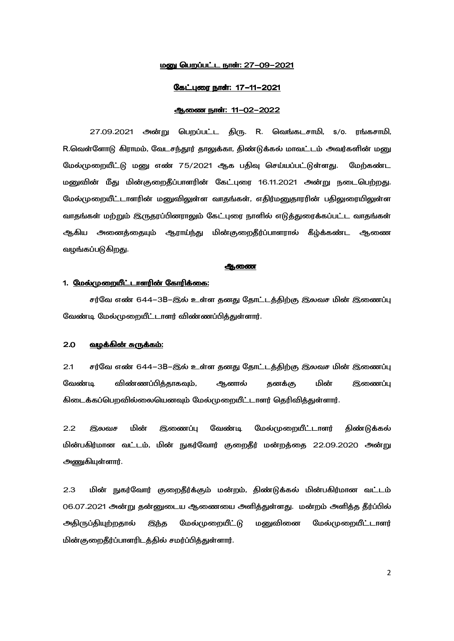## <u> மணு பெறப்பட்ட நாள்: 27-09-2021</u>

#### <u>கேட்புரை நாள்: 17-11-2021</u>

# ஆணை நாள்: 11-02-2022

27.09.2021 அன்று பெறப்பட்ட திரு. R. வெங்கடசாமி, s/o. ரங்கசாமி, R.வெள்ளோடு கிராமம், வேடசந்தூர் தாலுக்கா, திண்டுக்கல் மாவட்டம் அவர்களின் மனு மேல்முறையீட்டு மனு எண் 75/2021 ஆக பதிவு செய்யப்பட்டுள்ளது. மேற்கண்ட மனுவின் மீது மின்குறைதீப்பாளரின் கேட்புரை 16.11.2021 அன்று நடைபெற்றது. மேல்முறையீட்டாளரின் மனுவிலுள்ள வாதங்கள், எதிர்மனுதாரரின் பதிலுரையிலுள்ள வாதங்கள் மற்றும் இருதரப்பினராலும் கேட்புரை நாளில் எடுத்துரைக்கப்பட்ட வாதங்கள் ஆகிய அனைத்தையும் ஆராய்ந்து மின்குறைதீர்ப்பாளரால் கீழ்க்கண்ட ஆணை வழங்கப்படுகிறது.

#### **ஆணை**

## 1. <u>மேல்முறையீட்டாளரின் கோரிக்கை:</u>

சர்வே எண் 644–3B–இல் உள்ள தனது தோட்டத்திற்கு இலவச மின் இணைப்பு வேண்டி மேல்முறையீட்டாளர் விண்ணப்பித்துள்ளார்.

## <u>2.0 வழக்கின் சுருக்கம்:</u>

2.1 சர்வே எண் 644–3B–இல் உள்ள தனது தோட்டத்திற்கு இலவச மின் இணைப்பு வேண்டி விண்ணப்பித்தாகவும், ஆனால் தனக்கு மின் இணைப்பு கிடைக்கப்பெறவில்லையெனவும் மேல்முறையீட்டாளர் தெரிவித்துள்ளார்.

2.2 இலவச மின் இணைப்பு வேண்டி மேல்முறையீட்டாளர் திண்டுக்கல் மின்பகிர்மான வட்டம், மின் நுகர்வோர் குறைதீர் மன்றத்தை 22.09.2020 அன்று அணுகியுள்ளார்.

2.3 மின் நுகர்வோர் குறைதீர்க்கும் மன்றம், திண்டுக்கல் மின்பகிர்மான வட்டம் 06.07.2021 அன்று தன்னுடைய ஆணையை அளித்துள்ளது. மன்றம் அளித்த தீர்ப்பில் அதிருப்தியுற்றதால் இந்த மேல்முறையீட்டு மனுவினை மேல்முறையீட்டாளர் மின்குறைதீர்ப்பாளரிடத்தில் சமர்ப்பித்துள்ளார்.

2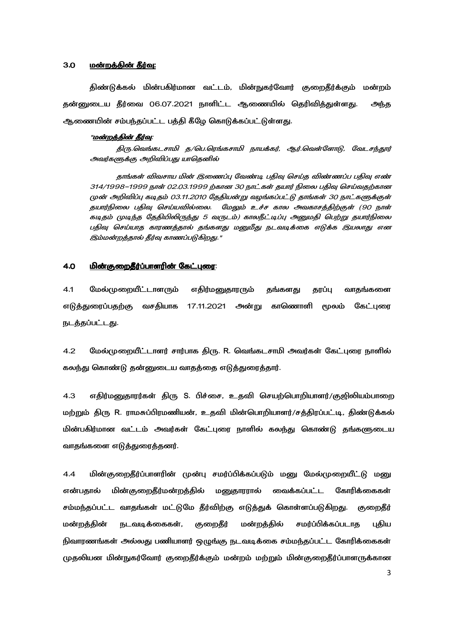## 3.0 <u>மன்றத்தின் தீர்வு:</u>

திண்டுக்கல் மின்பகிர்மான வட்டம், மின்நுகர்வோர் குறைதீர்க்கும் மன்றம் தன்னுடைய தீர்வை 06.07.2021 நாளிட்ட ஆணையில் தெரிவித்துள்ளது. அந்த ஆணையின் சம்பந்தப்பட்ட பத்தி கீழே கொடுக்கப்பட்டுள்ளது.

#### "<u>மன்றத்தின் தீர்வு</u>:

திரு.வெங்கடசாமி த/பெ.ரெங்கசாமி நாயக்கர், ஆர்.வெள்ளோடு, வேடசந்தூர் அவர்களுக்கு அறிவிப்பது யாதெனில்

தாங்கள் விவசாய மின் இணைப்பு வேண்டி பதிவு செய்த விண்ணப்ப பதிவு எண் 314/1998–1999 நாள் 02.03.1999 ற்கான 30 நாட்கள் தயார் நிலை பதிவு செய்வதற்கான முன் அறிவிப்பு கடிதம் 03.11.2010 தேதியன்று வழங்கப்பட்டு தாங்கள் 30 நாட்களுக்குள் கயார்நிலை பகிவு செய்யவில்லை. மேலும் உச்ச கால அவகாசக்கிற்குள் (90 நாள் கடிதம் முடிந்த தேதியிலிருந்து 5 வருடம்) காலநீட்டிப்பு அனுமதி பெற்று தயார்நிலை பதிவு செய்யாத காரணத்தால் தங்களது மனுமீது நடவடிக்கை எடுக்க இயலாது என இம்மன்றத்தால் தீர்வு காணப்படுகிறது."

## 4.0 -f f- 
,\_ - 
,\_:

4.1 மேல்முறையீட்டாளரும் எதிர்மனுதாரரும் தங்களது தரப்பு வாதங்களை எடுத்துரைப்பதற்கு வசதியாக 17.11.2021 அன்று காணொளி மூலம் கேட்புரை நடத்தப்பட்டது.

4.2 மேல்முறையீட்டாளர் சார்பாக திரு. R. வெங்கடசாமி அவர்கள் கேட்புரை நாளில் கலந்து கொண்டு தன்னுடைய வாதத்தை எடுத்துரைத்தார்.

4.3 எதிர்மனுதாரர்கள் திரு S. பிச்சை, உதவி செயற்பொறியாளர்/குஜிலியம்பாறை மற்றும் திரு R. ராமசுப்பிரமணியன், உதவி மின்பொறியாளர்/சத்திரப்பட்டி, திண்டுக்கல் மின்பகிர்மான வட்டம் அவர்கள் கேட்புரை நாளில் கலந்து கொண்டு தங்களுடைய வாதங்களை எடுக்துரைக்கனர்.

4.4 மின்குறைதீர்ப்பாளரின் முன்பு சமர்ப்பிக்கப்படும் மனு மேல்முறையீட்டு மனு என்பதால் மின் குறைதீர்மன்றத்தில் மனுதாரரால் வைக்கப்பட்ட கோரிக்கைகள் சம்மந்தப்பட்ட வாதங்கள் மட்டுமே தீர்விற்கு எடுத்துக் கொள்ளப்படுகிறது. குறைதீர் மன்றத்தின் நடவடிக்கைகள், குறைதீர் மன்றத்தில் சமர்ப்பிக்கப்படாத புதிய நிவாரணங்கள் அல்லது பணியாளர் ஒழுங்கு நடவடிக்கை சம்மந்தப்பட்ட கோரிக்கைகள் முதலியன மின்நுகர்வோர் குறைதீர்க்கும் மன்றம் மற்றும் மின்குறைதீர்ப்பாளருக்கான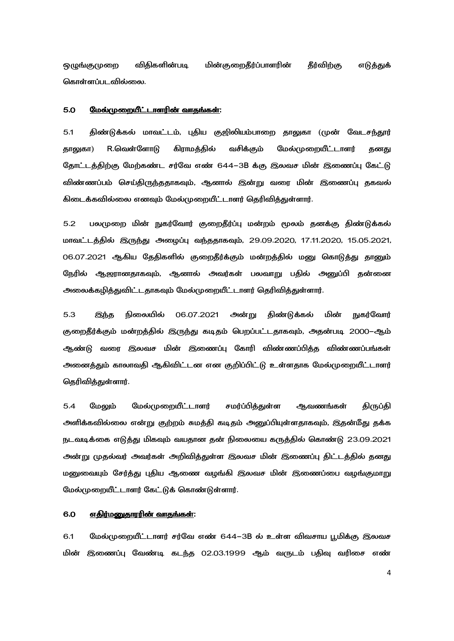**ஒழுங்குமுறை** விதிகளின்படி மின்குறைதீர்ப்பாளரின் தீர்விற்கு எடுத்துக் கொள்ளப்படவில்லை.

#### 5.0 மேல்முறையீட்டாளரின் வாதங்கள்:

 $5.1$ திண்டுக்கல் மாவட்டம், புதிய குஜிலியம்பாறை தாலுகா (முன் வேடசந்தூர் R.வெள்ளோடு கிராமத்தில் வசிக்கும் மேல்முறையீட்டாளர் தாலுகா) கனகு தோட்டத்திற்கு மேற்கண்ட சர்வே எண் 644–3B க்கு இலவச மின் இணைப்பு கேட்டு விண்ணப்பம் செய்திருந்ததாகவும், ஆனால் இன்று வரை மின் இணைப்பு தகவல் கிடைக்கவில்லை எனவும் மேல்முறையீட்டாளர் தெரிவித்துள்ளார்.

 $5.2$ பலமுறை மின் நுகர்வோர் குறைதீர்ப்பு மன்றம் மூலம் தனக்கு திண்டுக்கல் மாவட்டத்தில் இருந்து அழைப்பு வந்ததாகவும், 29.09.2020, 17.11.2020, 15.05.2021, 06.07.2021 ஆகிய தேதிகளில் குறைதீர்க்கும் மன்றத்தில் மனு கொடுத்து தானும் நேரில் ஆஜரானதாகவும், ஆனால் அவர்கள் பலவாறு பதில் அனுப்பி தன்னை அலைக்கழித்துவிட்டதாகவும் மேல்முறையீட்டாளர் தெரிவித்துள்ளார்.

5.3 நிலையில் 06.07.2021 அன்று திண்டுக்கல் மின் **நுகர்வோர்** இந்த குறைதீர்க்கும் மன்றத்தில் இருந்து கடிதம் பெறப்பட்டதாகவும், அதன்படி 2000–ஆம் ஆண்டு வரை இலவச மின் இணைப்பு கோரி விண்ணப்பித்த விண்ணப்பங்கள் அனைத்தும் காலாவதி ஆகிவிட்டன என குறிப்பிட்டு உள்ளதாக மேல்முறையீட்டாளர் தெரிவித்துள்ளார்.

 $5.4$ மேலும் மேல்முறையீட்டாளர் சமர்ப்பித்துள்ள ஆவணங்கள் திருப்தி அளிக்கவில்லை என்று குற்றம் சுமத்தி கடிதம் அனுப்பியுள்ளதாகவும், இதன்மீது தக்க நடவடிக்கை எடுத்து மிகவும் வயதான தன் நிலையை கருத்தில் கொண்டு 23.09.2021 அன்று முதல்வர் அவர்கள் அறிவித்துள்ள இலவச மின் இணைப்பு திட்டத்தில் தனது மனுவையும் சேர்த்து புதிய ஆணை வழங்கி இலவச மின் இணைப்பை வழங்குமாறு மேல்முறையீட்டாளர் கேட்டுக் கொண்டுள்ளார்.

#### 6.0 எதிர்மனுதாரரின் வாதங்கள்:

6.1 மேல்முறையீட்டாளர் சர்வே எண் 644–3B ல் உள்ள விவசாய பூமிக்கு இலவச மின் இணைப்பு வேண்டி கடந்த 02.03.1999 ஆம் வருடம் பதிவு வரிசை எண்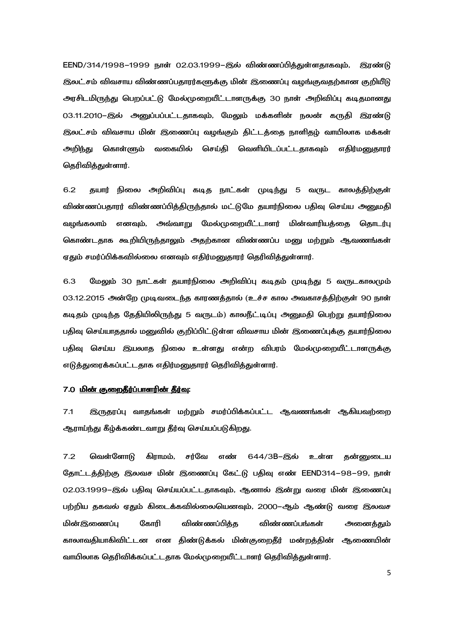EEND/314/1998–1999 நாள் 02.03.1999–இல் விண்ணப்பித்துள்ளதாகவும், இரண்டு இலட்சம் விவசாய விண்ணப்பதாரர்களுக்கு மின் இணைப்பு வழங்குவதற்கான குறியீடு அரசிடமிருந்து பெறப்பட்டு மேல்முறையீட்டாளருக்கு 30 நாள் அறிவிப்பு கடிதமானது 03.11.2010–இல் அனுப்பப்பட்டதாகவும், மேலும் மக்களின் நலன் கருதி இரண்டு இலட்சம் விவசாய மின் இணைப்பு வழங்கும் திட்டத்தை நாளிதழ் வாயிலாக மக்கள் அறிந்து கொள்ளும் வகையில் செய்தி வெளியிடப்பட்டதாகவும் எதிர்மனுதாரர் தெரிவித்துள்ளார்.

6.2 தயார் நிலை அறிவிப்பு கடித நாட்கள் முடிந்து 5 வருட காலத்திற்குள் விண்ணப்பதாரர் விண்ணப்பிக்கிருந்தால் மட்டுமே கயார்நிலை பகிவு செய்ய அனுமகி வழங்கலாம் எனவும், அவ்வாறு மேல்முறையீட்டாளர் மின்வாரியத்தை தொடர்பு கொண்டதாக கூறியிருந்தாலும் அதற்கான விண்ணப்ப மனு மற்றும் ஆவணங்கள் ஏதும் சமர்ப்பிக்கவில்லை எனவும் எதிர்மனுதாரர் தெரிவித்துள்ளார்.

6.3 மேலும் 30 நாட்கள் தயார்நிலை அறிவிப்பு கடிதம் முடிந்து 5 வருடகாலமும் 03.12.2015 அன்றே முடிவடைந்த காரணத்தால் (உச்ச கால அவகாசத்திற்குள் 90 நாள் கடிதம் முடிந்த தேதியிலிருந்து 5 வருடம்) காலநீட்டிப்பு அனுமதி பெற்று தயார்நிலை பதிவு செய்யாததால் மனுவில் குறிப்பிட்டுள்ள விவசாய மின் இணைப்புக்கு தயார்நிலை பதிவு செய்ய இயலாத நிலை உள்ளது என்ற விபரம் மேல்முறையீட்டாளருக்கு எடுத்துரைக்கப்பட்டதாக எதிர்மனுதாரர் தெரிவித்துள்ளார்.

## 7.0 <u>மின் குறைதீர்ப்பாளரின் தீர்வு</u>:

7.1 இருதரப்பு வாதங்கள் மற்றும் சமர்ப்பிக்கப்பட்ட ஆவணங்கள் ஆகியவற்றை ஆராய்ந்து கீழ்க்கண்டவாறு தீர்வு செய்யப்படுகிறது.

7.2 வெள்ளோடு கிராமம், சர்வே எண் 644/3B–இல் உள்ள தன்னுடைய தோட்டத்திற்கு இலவச மின் இணைப்பு கேட்டு பதிவு எண் EEND314–98–99, நாள் 02.03.1999–இல் பதிவு செய்யப்பட்டதாகவும், ஆனால் இன்று வரை மின் இணைப்பு பற்றிய தகவல் ஏதும் கிடைக்கவில்லையெனவும், 2000–ஆம் ஆண்டு வரை இலவச மின்இணைப்பு கோரி விண்ணப்பித்த விண்ணப்பங்கள் அனைத்தும் காலாவதியாகிவிட்டன என திண்டுக்கல் மின்குறைதீர் மன்றத்தின் ஆணையின் வாயிலாக தெரிவிக்கப்பட்டதாக மேல்முறையீட்டாளர் தெரிவித்துள்ளார்.

5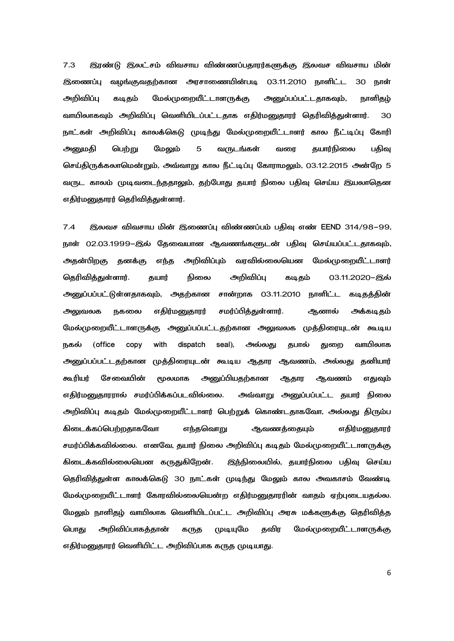7.3 இரண்டு இலட்சம் விவசாய விண்ணப்பதாரர்களுக்கு இலவச விவசாய மின் இணைப்பு வழங்குவதற்கான அரசாணையின்படி 03.11.2010 நாளிட்ட 30 நாள் அறிவிப்பு கடிதம் மேல்முறையீட்டாளருக்கு அனுப்பப்பட்டதாகவும், நாளிதம் வாயிலாகவும் அறிவிப்பு வெளியிடப்பட்டதாக எதிர்மனுதாரர் தெரிவித்துள்ளார். 30 நாட்கள் அறிவிப்பு காலக்கெடு முடிந்து மேல்முறையீட்டாளர் கால நீட்டிப்பு கோரி அனுமதி பெற்று மேலும் 5 வருடங்கள் வரை தயார்நிலை பதிவு செய்திருக்கலாமென்றும், அவ்வாறு கால நீட்டிப்பு கோராமலும், 03.12.2015 அன்றே 5 வருட காலம் முடிவடைந்ததாலும், தற்போது தயார் நிலை பதிவு செய்ய இயலாதென எதிர்மனுதாரர் தெரிவித்துள்ளார்.

7.4 இலவச விவசாய மின் இணைப்பு விண்ணப்பம் பதிவு எண் EEND 314/98–99, நாள் 02.03.1999–இல் தேவையான ஆவணங்களுடன் பதிவு செய்யப்பட்டதாகவும், அதன்பிறகு தனக்கு எந்த அறிவிப்பும் வரவில்லையென மேல்முறையீட்டாளர் தெரிவித்துள்ளார். தயார் நிலை அறிவிப்பு கடிதம் 03.11.2020–இல் அனுப்பப்பட்டுள்ளதாகவும், அதற்கான சான்றாக 03.11.2010 நாளிட்ட கடிதத்தின் கடிதத்தின் அலுவலக நகலை எதிர்மனுதாரர் சமர்ப்பித்துள்ளார். ஆனால் அக்கடிதம் மேல்முறையீட்டாளருக்கு அனுப்பப்பட்டதற்கான அலுவலக முத்திரையுடன் கூடிய நகல் (office copy with dispatch seal), அல்லது தபால் துறை வாயிலாக அனுப்பப்பட்டதற்கான முத்திரையுடன் கூடிய ஆதார ஆவணம், அல்லது தனியார் கூரியர் சேவையின் மூலமாக அனுப்பியதற்கான ஆதார ஆவணம் எதுவும் எதிர்மனுதாரரால் சமர்ப்பிக்கப்படவில்லை. அவ்வாறு அனுப்பப்பட்ட தயார் நிலை அறிவிப்பு கடிதம் மேல்முறையீட்டாளர் பெற்றுக் கொண்டதாகவோ, அல்லது திரும்ப கிடைக்கப்பெற்றதாகவோ எந்தவொறு ஆவணத்தையும் எதிர்மனுதாரர் சமர்ப்பிக்கவில்லை. எனவே, தயார் நிலை அறிவிப்பு கடிதம் மேல்முறையீட்டாளருக்கு கிடைக்கவில்லையென கருதுகிறேன். இந்நிலையில், தயார்நிலை பதிவு செய்ய தெரிவித்துள்ள காலக்கெடு 30 நாட்கள் முடிந்து மேலும் கால அவகாசம் வேண்டி மேல்முறையீட்டாளர் கோரவில்லையென்ற எதிர்மனுதாரரின் வாதம் ஏற்புடையதல்ல. மேலும் நாளிதம் வாயிலாக வெளியிடப்பட்ட அறிவிப்பு அரசு மக்களுக்கு தெரிவித்த **பொது அறிவிப்பாகக்கான்** கருத முடியுமே தவிர மேல்முறையீட்டாளருக்கு எதிர்மனுதாரர் வெளியிட்ட அறிவிப்பாக கருத முடியாது.

6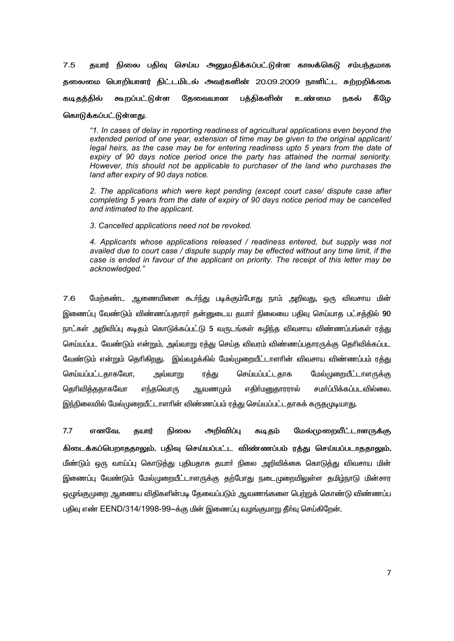தயார் நிலை பதிவு செய்ய அனுமதிக்கப்பட்டுள்ள காலக்கெடு சம்பந்தமாக  $7.5$ தலைமை பொறியாளர் கிட்டமிடல் அவர்களின் 20.09.2009 நாளிட்ட சுற்றறிக்கை கூறப்பட்டுள்ள கேவையான பக்கிகளின் கீமே கடிக்கில் உண்மை நகல்

கொடுக்கப்பட்டுள்ளது.

"1. In cases of delay in reporting readiness of agricultural applications even beyond the extended period of one vear, extension of time may be given to the original applicant/ legal heirs, as the case may be for entering readiness upto 5 years from the date of expiry of 90 days notice period once the party has attained the normal seniority. However, this should not be applicable to purchaser of the land who purchases the land after expiry of 90 days notice.

2. The applications which were kept pending (except court case/ dispute case after completing 5 years from the date of expiry of 90 days notice period may be cancelled and intimated to the applicant.

3. Cancelled applications need not be revoked.

4. Applicants whose applications released / readiness entered, but supply was not availed due to court case / dispute supply may be effected without any time limit, if the case is ended in favour of the applicant on priority. The receipt of this letter may be acknowledged."

 $7.6$ மேற்கண்ட ஆணையினை கூர்ந்து படிக்கும்போது நாம் அறிவது, ஒரு விவசாய மின் இணைப்பு வேண்டும் விண்ணப்பதாரா் தன்னுடைய தயாா் நிலையை பதிவு செய்யாத பட்சத்தில் 90 நாட்கள் அறிவிப்பு கடிதம் கொடுக்கப்பட்டு 5 வருடங்கள் கழிந்த விவசாய விண்ணப்பங்கள் ரத்து செய்யப்பட வேண்டும் என்றும், அவ்வாறு ரத்து செய்த விவரம் விண்ணப்பதாரருக்கு தெரிவிக்கப்பட வேண்டும் என்றும் தெரிகிறது. இவ்வழக்கில் மேல்முறையீட்டாளாின் விவசாய விண்ணப்பம் ரத்து செய்யப்பட்டதாகவோ, அவ்வாறு செய்யப்பட்டதாக மேல்முறையீட்டாளருக்கு ரத்து சமா்ப்பிக்கப்படவில்லை. கெரிவிக்ககாகவோ எந்**க**வொரு ஆவண<sub>(</sub>மும் எகிர்மனுகாாாால் இந்நிலையில் மேல்முறையீட்டாளரின் விண்ணப்பம் ரத்து செய்யப்பட்டதாகக் கருதமுடியாது.

 $7.7$ எனவே. அறிவிப்பு கடிதம் மேல்முறையீட்டாளருக்கு தயார் நிலை கிடைக்கப்பெறாககாலம். பகிவ செய்யப்பட்ட விண்ணப்பம் ரக்கு செய்யப்படாககாலம். மீண்டும் ஒரு வாய்ப்பு கொடுத்து புதியதாக தயாா் நிலை அறிவிக்கை கொடுத்து விவசாய மின் இணைப்பு வேண்டும் மேல்முறையீட்டாளருக்கு தற்போது நடைமுறையிலுள்ள தமிழ்நாடு மின்சார ஒழுங்குமுறை ஆணைய விதிகளின்படி தேவைப்படும் ஆவணங்களை பெற்றுக் கொண்டு விண்ணப்ப பதிவு எண் EEND/314/1998-99-க்கு மின் இணைப்பு வழங்குமாறு தீர்வு செய்கிறேன்.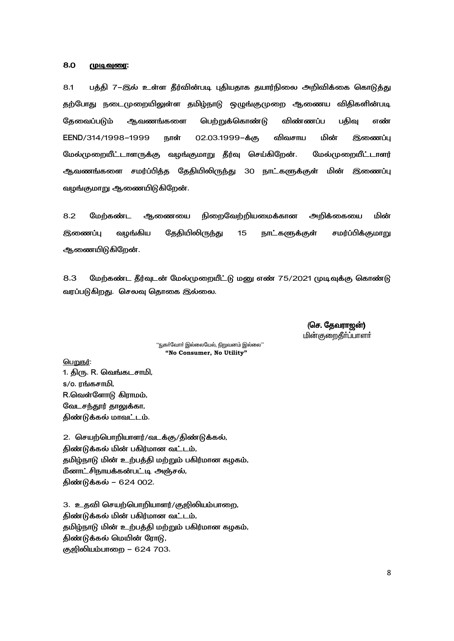#### 8.0 <u> (முடிவுரை:</u>

பத்தி 7–இல் உள்ள தீர்வின்படி புதியதாக தயார்நிலை அறிவிக்கை கொடுத்து  $8.1$ தற்போது நடைமுறையிலுள்ள தமிழ்நாடு ஒழுங்குமுறை ஆணைய விதிகளின்படி பெற்றுக்கொண்டு விண்ணப்ப தேவைப்படும் ஆவணங்களை பதிவு எண் EEND/314/1998-1999 மின் நாள் 02.03.1999-க்கு விவசாய இணைப்பு மேல்முறையீட்டாளருக்கு வழங்குமாறு தீர்வு செய்கிறேன். மேல்முறையீட்டாளர் ஆவணங்களை சமர்ப்பித்த தேதியிலிருந்து 30 நாட்களுக்குள் மின் இணைப்பு வழங்குமாறு ஆணையிடுகிறேன்.

8.2 நிறைவேற்றியமைக்கான அறிக்கையை மின் மேற்கண்ட ஆணையை வழங்கிய தேதியிலிருந்து சமர்ப்பிக்குமாறு **இணைப்பு** 15 நாட்களுக்குள் ஆணையிடுகிறேன்.

8.3 மேற்கண்ட தீர்வுடன் மேல்முறையீட்டு மனு எண் 75/2021 முடிவுக்கு கொண்டு வரப்படுகிறது. செலவு தொகை இல்லை.

> (செ. தேவராஜன்) **மின்குறைதீர்ப்பாளர்**

''நுகா்வோா் இல்லையேல், நிறுவனம் இல்லை'' "No Consumer, No Utility"

<u>பெறுநர்:</u> 1. திரு. R. வெங்கடசாமி, s/o. ரங்கசாமி, R.வெள்ளோடு கிராமம், வேடசந்தூர் தாலுக்கா, திண்டுக்கல் மாவட்டம்.

2. செயற்பொறியாளர்/வடக்கு/திண்டுக்கல், திண்டுக்கல் மின் பகிர்மான வட்டம், தமிழ்நாடு மின் உற்பத்தி மற்றும் பகிர்மான கழகம், மீனாட்சிநாயக்கன்பட்டி அஞ்சல், திண்டுக்கல் - 624 002.

3. உதவி செயற்பொறியாளர்/குஜிலியம்பாறை, திண்டுக்கல் மின் பகிர்மான வட்டம், தமிழ்நாடு மின் உற்பத்தி மற்றும் பகிர்மான கழகம், திண்டுக்கல் மெயின் ரோடு, குஜிலியம்பாறை – 624 703.